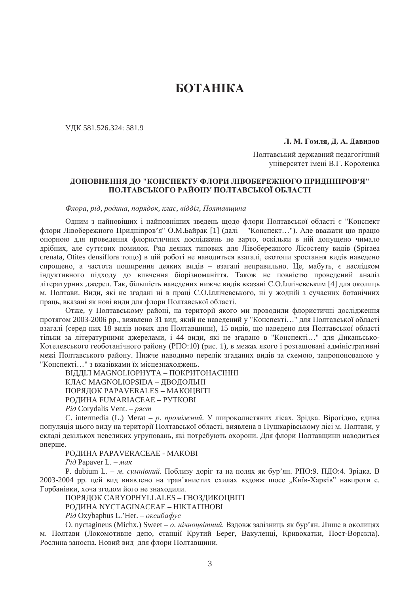# **БОТАНІКА**

ɍȾɄ 581.526.324: 581.9

 $\Box$ **. M.**  $\Gamma$ омля,  $\Box$ , А.  $\Box$ авидов

Полтавський державний педагогічний університет імені В.Г. Короленка

# ДОПОВНЕННЯ ДО "КОНСПЕКТУ ФЛОРИ ЛІВОБЕРЕЖНОГО ПРИДНІПРОВ'Я" **ɉɈɅɌȺȼɋɖɄɈȽɈ ɊȺɃɈɇɍ ɉɈɅɌȺȼɋɖɄɈȲ ɈȻɅȺɋɌȱ**

 $Φ$ лора, рід, родина, порядок, клас, відділ, Полтавшина

Олним з найновіших і найповніших звелень шоло флори Полтавської області є "Конспект флори Лівобережного Придніпров'я" О.М.Байрак [1] (далі – "Конспект..."). Але вважати цю працю опорною для проведення флористичних досліджень не варто, оскільки в ній допущено чимало дрібних, але суттєвих помилок. Ряд деяких типових для Лівобережного Лісостепу видів (Spiraea crenata, Otites densiflora тощо) в цій роботі не наводиться взагалі, екотопи зростання видів наведено спрощено, а частота поширення деяких видів – взагалі неправильно. Це, мабуть, є наслідком індуктивного пілхолу до вивчення біорізноманіття. Також не повністю проведений аналіз літературних джерел. Так, більшість наведених нижче видів вказані С.О.Іллічевським [4] для околиць м. Полтави. Вили, які не згалані ні в праці С.О.Іллічевського, ні у жолній з сучасних ботанічних праць, вказані як нові види для флори Полтавської області.

Отже, у Полтавському районі, на території якого ми проводили флористичні дослідження протягом 2003-2006 рр., виявлено 31 вид, який не наведений у "Конспекті..." для Полтавської області взагалі (серед них 18 видів нових для Полтавщини), 15 видів, що наведено для Полтавської області тільки за літературними джерелами, і 44 види, які не згадано в "Конспекті..." для Диканьсько-Котелевського геоботанічного району (РПО:10) (рис. 1), в межах якого і розташовані алміністративні межі Полтавського району. Нижче наводимо перелік згаданих видів за схемою, запропонованою у "Конспекті..." з вказівками їх місцезнаходжень.

ВІДДІЛ MAGNOLIOPHYTA – ПОКРИТОНАСІННІ КЛАС MAGNOLIOPSIDA – ДВОДОЛЬНІ ПОРЯДОК PAPAVERALES – МАКОЦВІТІ РОДИНА FUMARIACEAE – РУТКОВІ

 $P$ *i*д Corydalis Vent. – *ряст* 

С. intermedia (L.) Merat – *p. проміжний*. У широколистяних лісах. Зрідка. Вірогідно, єдина популяція цього виду на території Полтавської області, виявлена в Пушкарівському лісі м. Полтави, у складі декількох невеликих угруповань, які потребують охорони. Для флори Полтавщини наводиться вперше.

## РОДИНА PAPAVERACEAE - MAKOBI

*Piò* Papaver L. – *Mak* 

P. dubium L. – *м. сумнівний*. Поблизу доріг та на полях як бур'ян. РПО:9. ПДО:4. Зрідка. В 2003-2004 рр. цей вид виявлено на трав'янистих схилах вздовж шосе "Київ-Харків" навпроти с. Горбанівки, хоча згодом його не знаходили.

ПОРЯДОК CARYOPHYLLALES – ГВОЗДИКОЦВІТІ

РОДИНА NYCTAGINACEAE – НІКТАГІНОВІ

 $P$ *i* $∂$  Oxybaphus L.'Her. – *οκειιδαφνε* 

O. nyctagineus (Michx.) Sweet – *o. нічноцвітний*. Вздовж залізниць як бур'ян. Лише в околицях м. Полтави (Локомотивне депо, станції Крутий Берег, Вакуленці, Кривохатки, Пост-Ворскла). Рослина заносна. Новий вид для флори Полтавщини.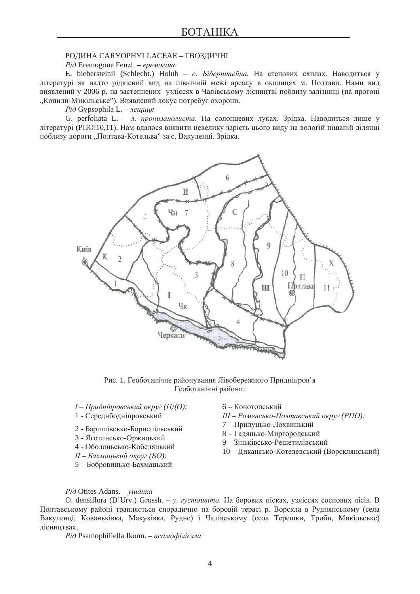#### РОДИНА CARYOPHYLLACEAE – ГВОЗДИЧНІ

*Piò* Eremogone Fenzl. – еремогоне

E. biebersteinii (Schlecht.) Holub – *e. Біберштейна*. На степових схилах. Наводиться у літературі як налто рілкісний вил на північній межі ареалу в околицях м. Полтави. Нами вил виявлений у 2006 р. на застепнених узліссях в Чалівському лісництві поблизу залізниці (на прогоні "Копили-Микільське"). Виявлений локус потребує охорони.

 $P$ *i∂* Gypsophila L. – *πeιμιμ*α

G. perfoliata L. – *л. пронизанолиста*. На солонцевих луках. Зрідка. Наводиться лише у літературі (РПО:10,11). Нам вдалося виявити невелику зарість цього виду на вологій піщаній ділянці поблизу дороги "Полтава-Котельва" за с. Вакуленці. Зрідка.



Рис. 1. Геоботанічне районування Лівобережного Прилніпров'я Геоботанічні райони:

- $I \Pi$ ридніпровський округ (ПДО):
- 1 Середнбодніпровський
- 2 Баришівсько-Бориспільський
- 3 Яготинсько-Оржинький
- 4 Оболоньсько-Кобеляцький
- $II Baxaa u bku\ddot{u}$  *okpvz* (*БО*):
- 5 Бобровицько-Бахмацький
- 6 Конотопський
- $III P$ оменсько-Полтавський округ (РПО):
- 7 Прилуцько-Лохвицький
- 8 Гадяцько-Миргородський
- 9 Зіньківсько-Решетилівський
- 10 Дикансько-Котелевський (Ворсклянський)

 $P$ *i*д Otites Adans. – ушанка

O. densiflora (D'Urv.) Grossh. *– y. evemousima*. На борових пісках, узліссях соснових лісів. В Полтавському районі трапляється споралично на боровій терасі р. Ворскла в Рулнянському (села Вакуленці, Кованьківка, Макухівка, Рудне) і Чалівському (села Терешки, Триби, Микільське) лісництвах.

*Piò* Psamophiliella Ikonn. – *псамофілієлла*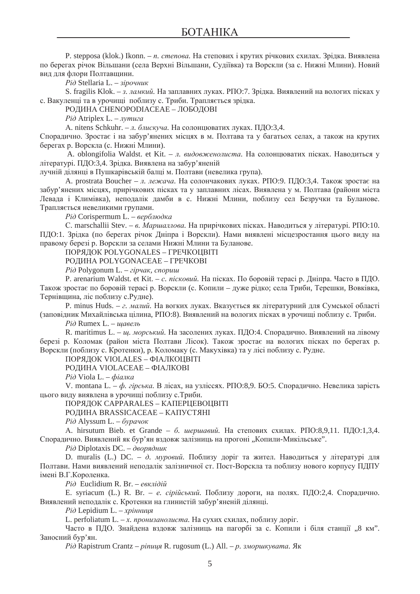P. stepposa (klok.) Ikonn. – *n. степова*. На степових і крутих річкових схилах. Зрідка. Виявлена по берегах річок Вільшани (села Верхні Вільшани, Судіївка) та Ворскли (за с. Нижні Млини). Новий вид для флори Полтавщини.

 $P$ *i* $∂$  Stellaria L. – *3ipoчник* 

S. fragilis Klok. – *3. ламкий*. На заплавних луках. РПО:7. Зрідка. Виявлений на вологих пісках у с. Вакуленці та в урочищі поблизу с. Триби. Трапляється зрідка.

РОДИНА СНЕМОРОДІАСЕАЕ – ЛОБОДОВІ

 $P$ *i* $∂$  Atriplex L. – *πγmua* 

A. nitens Schkuhr. – *л. блискуча*. На солонцюватих луках. ПДО:3,4.

Спорадично. Зростає і на забур'янених місцях в м. Полтава та у багатьох селах, а також на крутих берегах р. Ворскла (с. Нижні Млини).

A. oblongifolia Waldst. et Kit. – *д. видовженолиста*. На солонцюватих пісках. Наводиться у літературі. ПДО:3,4. Зрідка. Виявлена на забур'яненій

лучній ділянці в Пушкарівській балці м. Полтави (невелика група).

А. prostrata Boucher – *л. лежача*. На солончакових луках. РПО:9. ПДО:3,4. Також зростає на забур'янених місцях, прирічкових пісках та у заплавних лісах. Виявлена у м. Полтава (райони міста Левада і Климівка), неподалік дамби в с. Нижні Млини, поблизу сел Безручки та Буланове. Трапляється невеликими групами.

 $P$ *i* $∂$  Corispermum L. – *<sup><i>e*</sup>ερδπιο∂κα</sup>

С. marschallii Stev. – *в. Маршаллова*. На прирічкових пісках. Наводиться у літературі. РПО:10. ПДО:1. Зрідка (по берегах річок Дніпра і Ворскли). Нами виявлені місцезростання цього виду на правому березі р. Ворскли за селами Нижні Млини та Буланове.

ПОРЯДОК POLYGONALES – ГРЕЧКОЦВІТІ

РОДИНА POLYGONACEAE – ГРЕЧКОВІ

 $P$ *i* $∂$  Polygonum L. – *¿ipчακ*, *cnopuw* 

P. arenarium Waldst. et Kit. – *c. nicковий*. На пісках. По боровій терасі р. Дніпра. Часто в ПДО. Також зростає по боровій терасі р. Ворскли (с. Копили – дуже рідко; села Триби, Терешки, Вовківка, Тернівщина, ліс поблизу с. Рудне).

P. minus Huds. – *г. малий*. На вогких луках. Вказується як літературний для Сумської області (заповідник Михайлівська цілина, РПО:8). Виявлений на вологих пісках в урочищі поблизу с. Триби.

 $P$ *i* $\partial$  Rumex L. – *шавель* 

R. maritimus L. – *ш. морський*. На засолених луках. ПДО:4. Спорадично. Виявлений на лівому березі р. Коломак (район міста Полтави Лісок). Також зростає на вологих пісках по берегах р. Ворскли (поблизу с. Кротенки), р. Коломаку (с. Макухівка) та у лісі поблизу с. Рудне.

ПОРЯДОК VIOLALES – ФІАЛКОЦВІТІ

РОДИНА VIOLACEAE – ФІАЛКОВІ

 $P$ *i* $∂$  Viola L. –  $\phi$ *iaπ*κα

V. montana L. – ф. *гірська*. В лісах, на узліссях. РПО:8,9. БО:5. Спорадично. Невелика зарість цього виду виявлена в урочищі поблизу с. Триби.

ПОРЯДОК CAPPARALES – КАПЕРЦЕВОЦВІТІ

РОДИНА BRASSICACEAE – КАПУСТЯНІ

*Piò* Alyssum L. – *δγρανοκ* 

А. hirsutum Bieb. et Grande – б. шершавий. На степових схилах. РПО:8,9,11. ПДО:1,3,4. Спорадично. Виявлений як бур'ян вздовж залізниць на прогоні "Копили-Микільське".

 $P$ *i*∂ Diplotaxis DC. – *∂<sup>80</sup>PR∂HUK* 

D. muralis (L.) DC. –  $\partial$ *. муровий*. Поблизу доріг та жител. Наводиться у літературі для Полтави. Нами виявлений неподалік залізничної ст. Пост-Ворскла та поблизу нового корпусу ПДПУ імені В.Г. Короленка.

 $P$ *i*∂ Euclidium R. Br. – *e*βκπi∂iũ

Е. syriacum (L.) R. Br. – *e. cipiйський*. Поблизу дороги, на полях. ПДО:2,4. Спорадично. Виявлений неподалік с. Кротенки на глинистій забур'яненій ділянці.

 $P$ *i*д Lepidium L. – *хрінниця* 

L. perfoliatum L. – *х. пронизанолиста*. На сухих схилах, поблизу доріг.

Часто в ПДО. Знайдена вздовж залізниць на пагорбі за с. Копили і біля станції "8 км". Заносний бур'ян.

 $P$ *i* $∂$  Rapistrum Crantz – *pinuus* R. rugosum (L.) All. – *p. 3Mopukyeama.* Як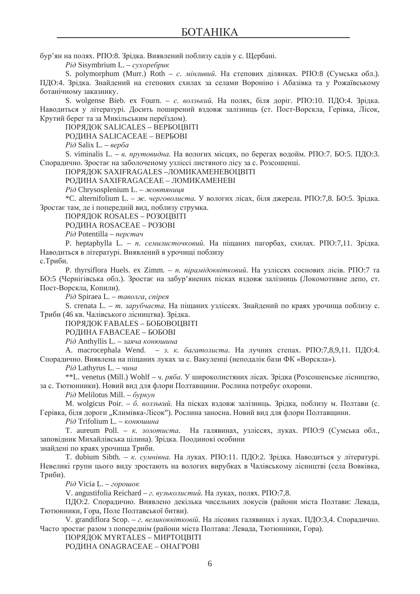бур'ян на полях. РПО:8. Зрідка. Виявлений поблизу садів у с. Щербані.

 $P$ *i*∂ Sisymbrium L. – *cγxopeбpuκ* 

S. polymorphum (Murr.) Roth – *c. мінливий*. На степових ділянках. РПО:8 (Сумська обл.). ПДО:4. Зрідка. Знайдений на степових схилах за селами Вороніно і Абазівка та у Рожаївському ботанічному заказнику.

S. wolgense Bieb. ex Fourn. – *с. волзький*. На полях, біля доріг. РПО:10. ПДО:4. Зрідка. Наводиться у літературі. Досить поширений вздовж залізниць (ст. Пост-Ворскла, Герівка, Лісок, Крутий берег та за Микільським переїздом).

ПОРЯДОК SALICALES – ВЕРБОЦВІТІ

РОДИНА SALICACEAE – ВЕРБОВІ

*Piò* Salix L. – *sepõa* 

S. viminalis L. – *в. прутовидна*. На вологих місцях, по берегах водойм. РПО:7. БО:5. ПДО:3. Спорадично. Зростає на заболоченому узліссі листяного лісу за с. Розсошенці.

ПОРЯДОК SAXIFRAGALES – ЛОМИКАМЕНЕВОЦВІТІ

РОДИНА SAXIFRAGACEAE – ЛОМИКАМЕНЕВІ

*Piò* Chrysosplenium L. – жовтяниця

\*С. alternifolium L. – ж. *черговолиста*. У вологих лісах, біля джерела. РПО:7,8. БО:5. Зрідка. Зростає там, де і попередній вид, поблизу струмка.

ПОРЯДОК ROSALES – РОЗОЦВІТІ

РОДИНА ROSACEAE – РОЗОВІ

*Piò* Potentilla – *nepcmay* 

P. heptaphylla L. – *n. семилисточковий*. На піщаних пагорбах, схилах. РПО:7,11. Зрідка. Наводиться в літературі. Виявлений в урочищі поблизу

с. Триби.

P. thyrsiflora Huels. ex Zimm. – *n. пірамідоквітковий*. На узліссях соснових лісів. РПО:7 та БО:5 (Чернігівська обл.). Зростає на забур'янених пісках вздовж залізниць (Локомотивне депо, ст. Пост-Ворскла, Копили).

 $P$ *i* $\partial$  Spiraea L. – *таволга*, *спірея* 

S. crenata L. – *m. зарубчаста*. На піщаних узліссях. Знайдений по краях урочища поблизу с. Триби (46 кв. Чалівського лісництва). Зрілка.

ПОРЯДОК FABALES – БОБОВОЦВІТІ

РОДИНА FABACEAE – БОБОВІ

*Piò* Anthyllis L. – заяча конюшина

A. macrocephala Wend. – *з. к. багатолиста*. На лучних степах. РПО:7,8,9,11. ПДО:4. Спорадично. Виявлена на піщаних луках за с. Вакуленці (неподалік бази ФК «Ворскла»).

 $P$ *i*д Lathyrus L. – *чина* 

\*\*L. venetus (Mill.) Wohlf – *ч. ряба*. У широколистяних лісах. Зрідка (Розсошенське лісництво, за с. Тютюнники). Новий вид для флори Полтавщини. Рослина потребує охорони.

 $P$ *i* $∂$  Melilotus Mill. –  $δ$ γρκγ $#$ 

M. wolgicus Poir. – б. волзький. На пісках вздовж залізниць. Зрідка, поблизу м. Полтави (с. Герівка, біля дороги "Климівка-Лісок"). Рослина заносна. Новий вид для флори Полтавщини.

 $P$ *i* $∂$  Trifolium L. – *κο*ΗΘΨΗΒΑ

Т. aureum Poll. – *к. золотиста*. На галявинах, узліссях, луках. РПО:9 (Сумська обл., заповідник Михайлівська цілина). Зрідка. Поодинокі особини

знайдені по краях урочища Триби.

Т. dubium Sibth. – к. сумнівна. На луках. РПО:11. ПДО:2. Зрідка. Наводиться у літературі. Невеликі групи цього виду зростають на вологих вирубках в Чалівському лісництві (села Вовківка, Триби).

 $P$ *i* $∂$  Vicia L. – *20p0ш0K* 

V. angustifolia Reichard – *г. вузьколистий*. На луках, полях. РПО:7,8.

ПДО:2. Спорадично. Виявлено декілька чисельних локусів (райони міста Полтави: Левада, Тютюнники, Гора, Поле Полтавської битви).

V. grandiflora Scop. – *г. великоквітковій*. На лісових галявинах і луках. ПДО:3,4. Спорадично. Часто зростає разом з попереднім (райони міста Полтава: Левада, Тютюнники, Гора).

ПОРЯДОК MYRTALES – МИРТОЦВІТІ

РОДИНА ONAGRACEAE – OHAГРОВI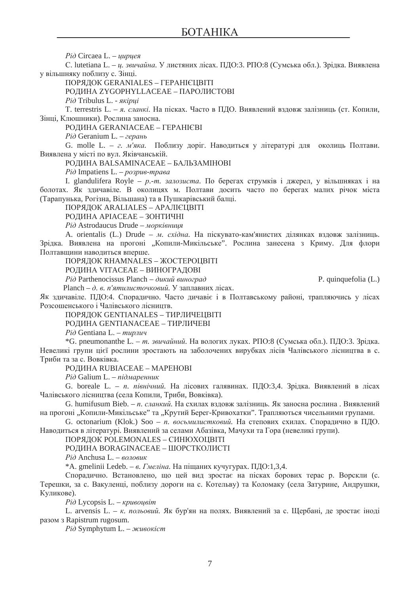*Piò* Circaea L. – *цирцея* 

С. lutetiana L. – *ц. звичайна*. У листяних лісах. ПДО:3. РПО:8 (Сумська обл.). Зрідка. Виявлена у вільшняку поблизу с. Зінці.

ПОРЯЛОК GERANIALES – ГЕРАНІЄЦВІТІ

РОДИНА ZYGOPHYLLACEAE – ПАРОЛИСТОВІ

 $P$ *i*∂ Tribulus L. - *πκίριιί* 

T. terrestris L. – я. сланкі. На пісках. Часто в ПДО. Виявлений вздовж залізниць (ст. Копили, Зінці, Клюшники). Рослина заносна.

РОДИНА GERANIACEAE – ГЕРАНІЄВІ

 $P$ *i*д Geranium L. – *герань* 

G. molle L. – *г. м'яка*. Поблизу доріг. Наводиться у літературі для околиць Полтави. Виявлена у місті по вул. Яківчанській.

РОДИНА BALSAMINACEAE – БАЛЬЗАМІНОВІ

*Piò* Impatiens L. – *pospue-mpaea* 

I. glandulifera Royle – *p.-m. залозиста*. По берегах струмків і джерел, у вільшняках і на болотах. Як здичавіле. В околицях м. Полтави досить часто по берегах малих річок міста (Тарапунька, Рогізна, Вільшана) та в Пушкарівський балці.

ПОРЯЛОК ARALIALES – АРАЛІЄЦВІТІ

РОДИНА АРІАСЕАЕ – ЗОНТИЧНІ

*Piò* Astrodaucus Drude – морківниця

A. orientalis (L.) Drude – *м. східна*. На піскувато-кам'янистих ділянках вздовж залізниць. Зрідка. Виявлена на прогоні "Копили-Микільське". Рослина занесена з Криму. Для флори Полтавщини наводиться вперше.

ПОРЯЛОК RHAMNALES – ЖОСТЕРОЦВІТІ

РОДИНА VITACEAE – ВИНОГРАДОВІ

*Ɋɿɞ* Parthenocissus Planch – *ɞɢɤɢɣ ɜɢɧɨɝɪɚɞ* P. quinquefolia (L.)

Planch – д. в. п'ятилисточковий. У заплавних лісах.

Як здичавіле. ПДО:4. Спорадично. Часто дичавіє і в Полтавському районі, трапляючись у лісах Розсошенського і Чалівського лісництв.

ПОРЯДОК GENTIANALES – ТИРЛИЧЕЦВІТІ

РОДИНА GENTIANACEAE – ТИРЛИЧЕВІ

 $P$ *i* $∂$  Gentiana L. – *mupπuy* 

\*G. pneumonanthe L. – *т. звичайний*. На вологих луках. РПО:8 (Сумська обл.). ПДО:3. Зрідка. Невеликі групи цієї рослини зростають на заболочених вирубках лісів Чалівського лісництва в с. Триби та за с. Вовківка.

РОДИНА RUBIACEAE – MAPEHOBI

 $P$ *i*д Galium L. − *підмаренник* 

G. boreale L. – *n. північний*. На лісових галявинах. ПДО:3,4. Зрідка. Виявлений в лісах Чалівського лісництва (села Копили, Триби, Вовківка).

G. humifusum Bieb. – *п. сланкий*. На схилах вздовж залізниць. Як заносна рослина. Виявлений на прогоні "Копили-Микільське" та "Крутий Берег-Кривохатки". Трапляються чисельними групами.

G. octonarium (Klok.) Soo – *n. восьмилистковий*. На степових схилах. Спорадично в ПДО. Наводиться в літературі. Виявлений за селами Абазівка, Мачухи та Гора (невеликі групи).

ПОРЯДОК POLEMONALES – СИНЮХОЦВІТІ

РОДИНА BORAGINACEAE – ШОРСТКОЛИСТІ

 $P$ *i* $∂$  Anchusa L. – *<sup><i>e*</sup><sub>*o* $π$ *o* $ε$  $u$ <sub>K</sub></sub>

\*А. gmelinii Ledeb. – *в. Гмеліна*. На піщаних кучугурах. ПДО:1,3,4.

Споралично. Встановлено, шо цей вил зростає на пісках борових терас р. Ворскли (с. Терешки, за с. Вакуленці, поблизу дороги на с. Котельву) та Коломаку (села Затурине, Андрушки, Куликове).

 $P$ *i* $∂$  Lycopsis L. – *κρυεουείτη* 

L. arvensis L. – *к. польовий*. Як бур'ян на полях. Виявлений за с. Щербані, де зростає іноді pasom 3 Rapistrum rugosum.

 $P$ *i* $∂$  Symphytum L. – *H*cuεοκ*icm*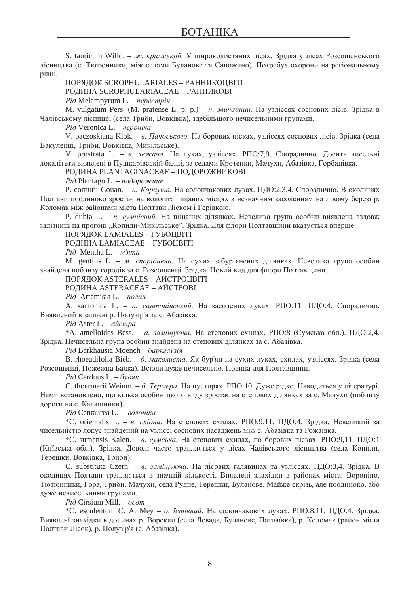S. tauricum Willd. – ж. кримський. У широколистяних лісах. Зрідка у лісах Розсошенського лісництва (с. Тютюнники, між селами Буланове та Сапожино). Потребує охорони на регіональному рівні.

# ПОРЯЛОК SCROPHULARIALES – РАННИКОЦВІТІ

РОДИНА SCROPHULARIACEAE – РАННИКОВІ

*Piò* Melampyrum L. – *nepecmpiy* 

M. vulgatum Pers. (М. pratense L. p. p.) – *n. звичайний*. На узліссях соснових лісів. Зрідка в Чалівському лісницві (села Триби, Вовківка), здебільшого нечисельними групами.

 $P$ *i* $∂$  Veronica L. – *<sup><i>e*gρο *Hika*</sup>

V. paczoskiana Klok. – *в. Пачоського*. На борових пісках, узліссях соснових лісів. Зрідка (села Вакуленці, Триби, Вовківка, Микільське).

V. prostrata L. – в. лежача. На луках, узліссях. РПО:7,9. Спорадично. Досить чисельні локалітети виявлені в Пушкарівській балці, за селами Кротенки, Мачухи, Абазівка, Горбанівка.

РОДИНА PLANTAGINACEAE – ПОДОРОЖНИКОВІ

 $P$ *i* $∂$  Plantago L. – *no∂οpο*жник

P. cornutii Gouan. – *n. Корнута*. На солончакових луках. ПЛО:2,3,4. Споралично. В околицях Полтави поодиноко зростає на вологих піщаних місцях з незначним засоленням на лівому березі р. Коломак між районами міста Полтави Ліском і Герівкою.

P. dubia L. – *n. сумнівний*. На піщаних ділянках. Невелика група особин виявлена вздовж залізниці на прогоні "Копили-Микільське". Зрідка. Для флори Полтавщини вказується вперше.

ПОРЯДОК LAMIALES – ГУБОЦВІТІ

РОДИНА LAMIACEAE – ГУБОЦВІТІ

*Piò* Mentha L. – *M'ama* 

M. gentilis L. – *м. споріднена*. На сухих забур'янених ділянках. Невелика група особин знайдена поблизу городів за с. Розсошенці. Зрідка. Новий вид для флори Полтавщини.

#### ПОРЯЛОК ASTERALES – АЙСТРОЦВІТІ

РОДИНА ASTERACEAE – АЙСТРОВІ

 $P$ *i* $∂$  Artemisia L. – *nonuH* 

A. santonica L. – *n. сантонінський*. На засолених луках. РПО:11. ПДО:4. Спорадично. Виявлений в заплаві р. Полузір'я за с. Абазівка.

*Piò* Aster L. – *aŭcmpa* 

\*A. amelloides Bess. - *a. заміщуюча*. На степових схилах. РПО:8 (Сумська обл.). ПДО:2,4. Зрідка. Нечисельна група особин знайдена на степових ділянках за с. Абазівка.

 $P$ *i* $∂$  Barkhausia Moench – *δαρκεαγ3ίε* 

В. rhoeadifolia Bieb. – *б. маколиста*. Як бур'ян на сухих луках, схилах, узліссях. Зрідка (села Розсошенці, Пожежна Балка). Всюди дуже нечисельно. Новина для Полтавщини.

 $P$ *i* $∂$  Carduus L. –  $∂ν∂aκ$ 

С. thoermerii Weinm. – *б. Термера*. На пустирях. РПО:10. Дуже рідко. Наводиться у літературі. Нами встановлено, що кілька особин цього виду зростає на степових ділянках за с. Мачухи (поблизу дороги на с. Калашники).

 $P$ *i* $∂$  Centaurea L. – *βΩλΟΥΝΚΑ* 

<sup>\*</sup>С. orientalis L. – *в. східна*. На степових схилах. РПО:9,11. ПДО:4. Зрідка. Невеликий за чисельністю локус знайдений на узліссі соснових насаджень між с. Абазівка та Рожаївка.

\*С. sumensis Kalen. – *в. сумська*. На степових схилах, по борових пісках. РПО:9,11. ПДО:1 (Київська обл.). Зрідка. Доволі часто трапляється у лісах Чалівського лісництва (села Копили, Терешки, Вовківка, Триби).

С. substituta Czern. – *в. заміщуюча*. На лісових галявинах та узліссях. ПДО:3,4. Зрідка. В околицях Полтави трапляється в значній кількості. Виявлені знахілки в районах міста: Вороніно, Тютюнники, Гора, Триби, Мачухи, села Рудне, Терешки, Буланове. Майже скрізь, але поодиноко, або дуже нечисельними групами.

*Piò* Cirsium Mill. – *ocom* 

\*С. esculentum С. А. Меу - *о. їстівний*. На солончакових луках. РПО:8,11. ПДО:4. Зрідка. Виявлені знахідки в долинах р. Ворскли (села Левада, Буланове, Патлаївка), р. Коломак (район міста Полтави Лісок), р. Полузір'я (с. Абазівка).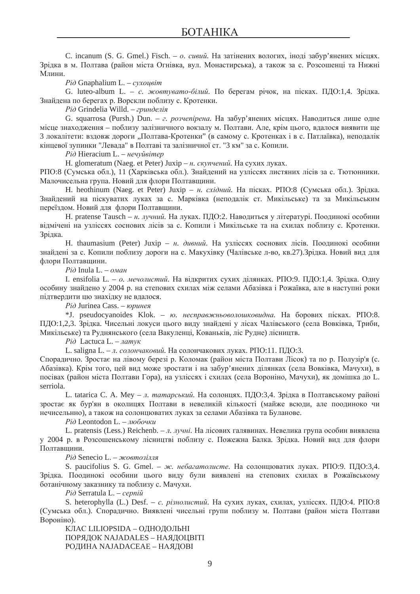C. incanum (S. G. Gmel.) Fisch. – *o. сивий*. На затінених вологих, іноді забур'янених місцях. Зрідка в м. Полтава (район міста Огнівка, вул. Монастирська), а також за с. Розсошенці та Нижні Млини.

*Piò* Gnaphalium L. – *cyxoueim* 

G. luteo-album L. – *с. жовтувато-білий*. По берегам річок, на пісках. ПДО:1,4. Зрідка. Знайдена по берегах р. Ворскли поблизу с. Кротенки.

 $P$ *i*д Grindelia Willd. – гринделія

G. squarrosa (Pursh.) Dun. - *г. розчепірена*. На забур'янених місцях. Наводиться лише одне місце знаходження – поблизу залізничного вокзалу м. Полтави. Але, крім цього, вдалося виявити ще 3 локалітети: вздовж дороги "Полтава-Кротенки" (в самому с. Кротенках і в с. Патлаївка), неподалік кінцевої зупинки "Левала" в Полтаві та залізничної ст. "3 км" за с. Копили.

 $P$ *i* $∂$  Hieracium L. – *Hevvŭeimep* 

H. glomeratum (Naeg. et Peter) Juxip – *н. скупчений*. На сухих луках.

РПО:8 (Сумська обл.), 11 (Харківська обл.). Знайдений на узліссях листяних лісів за с. Тютюнники. Малочисельна група. Новий для флори Полтавщини.

H. heothinum (Naeg. et Peter) Juxip – *н. східний*. На пісках. РПО:8 (Сумська обл.). Зрідка. Знайдений на піскуватих луках за с. Марківка (неподалік ст. Микільське) та за Микільським переїзлом. Новий лля флори Полтавшини.

Н. pratense Tausch – *н. лучний*. На луках. ПДО:2. Наводиться у літературі. Поодинокі особини відмічені на узліссях соснових лісів за с. Копили і Микільське та на схилах поблизу с. Кротенки. Зрідка.

Н. thaumasium (Peter) Juxip – *н. дивний*. На узліссях соснових лісів. Поодинокі особини знайдені за с. Копили поблизу дороги на с. Макухівку (Чалівське л-во, кв.27). Зрідка. Новий вид для флори Полтавшини.

 $P$ *i* $\partial$  Inula L. – *оман* 

I. ensifolia L. – *o. мечолистий*. На відкритих сухих ділянках. РПО:9. ПДО:1,4. Зрідка. Одну особину знайдено у 2004 р. на степових схилах між селами Абазівка і Рожаївка, але в наступні роки підтвердити цю знахідку не вдалося.

 $P$ *i*д Jurinea Cass. – *юринея* 

\*J. pseudocyanoides Klok. - *ю. несправжньоволошковидна*. На борових пісках. РПО:8. ПДО:1,2,3. Зрідка. Чисельні локуси цього виду знайдені у лісах Чалівського (села Вовківка, Триби, Микільське) та Руднянського (села Вакуленці, Кованьків, ліс Рудне) лісництв.

*Piò* Lactuca L. – *namyκ* 

L. saligna L. − *л. солончаковий*. На солончакових луках. РПО:11. ПДО:3.

Спорадично. Зростає на лівому березі р. Коломак (район міста Полтави Лісок) та по р. Полузір'я (с. Абазівка). Крім того, цей вид може зростати і на забур'янених ділянках (села Вовківка, Мачухи), в посівах (район міста Полтави Гора), на узліссях і схилах (села Вороніно, Мачухи), як домішка до L. serriola.

L. tatarica C. A. Mey – *л. татарський*. На солонцях. ПДО:3,4. Зрідка в Полтавському районі зростає як бур'ян в околицях Полтави в невеликій кількості (майже всюди, але поодиноко чи нечисельнно), а також на солонцюватих луках за селами Абазівка та Буланове.

 $Pi$ *λ* Leontodon L. – *πιοδονικμ* 

L. pratensis (Less.) Reichenb. – *л. лучні*. На лісових галявинах. Невелика група особин виявлена у 2004 р. в Розсошенському лісництві поблизу с. Пожежна Балка. Зрідка. Новий вид для флори Полтавщини.

 $P$ *i* $\partial$  Senecio L. – *жовтозілля* 

S. paucifolius S. G. Gmel. – ж. небагатолисте. На солонцюватих луках. РПО:9. ПДО:3,4. Зрідка. Поодинокі особини цього виду були виявлені на степових схилах в Рожаївському ботанічному заказнику та поблизу с. Мачухи.

*Piò* Serratula L. – *cepniŭ* 

S. heterophylla (L.) Desf. – *c. різнолистий*. На сухих луках, схилах, узліссях. ПДО:4. РПО:8 (Сумська обл.). Спорадично. Виявлені чисельні групи поблизу м. Полтави (район міста Полтави Вороніно).

КЛАС LILIOPSIDA – ОЛНОЛОЛЬНІ ПОРЯДОК NAJADALES – НАЯДОЦВІТІ РОДИНА NAJADACEAE – НАЯДОВІ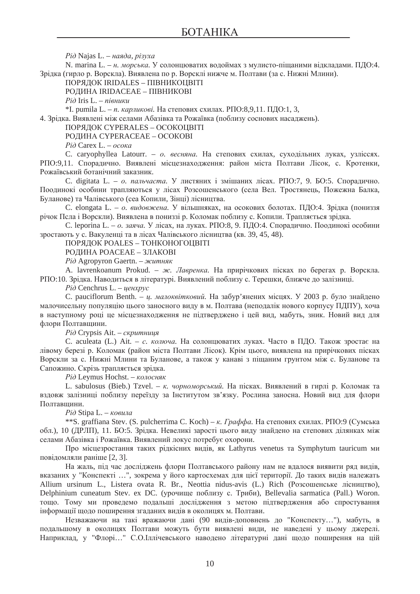$P$ *i*д Najas L. − наяда, різуха

N. marina L. – *н. морська*. У солонцюватих водоймах з мулисто-піщаними відкладами. ПДО:4. Зрідка (гирло р. Ворскла). Виявлена по р. Ворсклі нижче м. Полтави (за с. Нижні Млини).

ПОРЯЛОК IRIDALES – ПІВНИКОШВІТІ

РОДИНА IRIDACEAE – ПІВНИКОВІ

 $P$ *i*д Iris L. − *півники* 

\*I. pumila L. – *n. карликові*. На степових схилах. РПО:8,9,11. ПДО:1, 3,

4. Зрідка. Виявлені між селами Абазівка та Рожаївка (поблизу соснових насаджень).

ПОРЯДОК CYPERALES – ОСОКОЦВІТІ

РОДИНА СҮРЕRACEAE – ОСОКОВІ

 $P$ *i* $\partial$  Carex L. –  $\rho$ *coka* 

С. caryophyllea Latourr. - *о. весняна*. На степових схилах, суходільних луках, узліссях. РПО:9,11. Спорадично. Виявлені місцезнаходження: район міста Полтави Лісок, с. Кротенки, Рожаївський ботанічний заказник.

C. digitata L. - *о. пальчаста*. У листяних і змішаних лісах. РПО:7, 9. БО:5. Спорадично. Поодинокі особини трапляються у лісах Розсошенського (села Вел. Тростянець, Пожежна Балка, Буланове) та Чалівського (сеа Копили, Зінці) лісництва.

C. elongata L. – *o. видовжена*. У вільшняках, на осокових болотах. ПЛО:4. Зрілка (пониззя річок Псла і Ворскли). Виявлена в пониззі р. Коломак поблизу с. Копили. Трапляється зрідка.

С. leporina L. – *o. заяча*. У лісах, на луках. РПО:8, 9. ПДО:4. Спорадично. Поодинокі особини зростають у с. Вакуленці та в лісах Чалівського лісництва (кв. 39, 45, 48).

ПОРЯДОК POALES – ТОНКОНОГОЦВІТІ

РОДИНА РОАСЕАЕ – ЗЛАКОВІ

 $P$ *iд* Agropyron Gaertn. – житняк

A. lavrenkoanum Prokud. – ж. Лавренка. На прирічкових пісках по берегах р. Ворскла. РПО:10. Зрідка. Наводиться в літературі. Виявлений поблизу с. Терешки, ближче до залізниці.

 $Pi\dot{o}$  Cenchrus L. − *ценхрус* 

C. pauciflorum Benth. – *ц. малоквітковий*. На забур'янених місцях. У 2003 р. було знайдено малочисельну популяцію цього заносного виду в м. Полтава (неподалік нового корпусу ПДПУ), хоча в наступному році це місцезнаходження не підтверджено і цей вид, мабуть, зник. Новий вид для флори Полтавщини.

 $P$ *i* $∂$  Crypsis Ait. – *cκpumниця* 

С. aculeata (L.) Ait. – *c. колюча*. На солонцюватих луках. Часто в ПДО. Також зростає на лівому березі р. Коломак (район міста Полтави Лісок). Крім цього, виявлена на прирічкових пісках Ворскли за с. Нижні Млини та Буланове, а також у канаві з піщаним грунтом між с. Буланове та Сапожино. Скрізь трапляється зрідка.

 $P$ *i* $∂$  Leymus Hochst. – *κολοςΗ*θκ

L. sabulosus (Bieb.) Tzvel. – *к. чорноморський*. На пісках. Виявлений в гирлі р. Коломак та вздовж залізниці поблизу переїзду за Інститутом зв'язку. Рослина заносна. Новий вид для флори Полтавшини.

 $P$ *i* $∂$  Stipa L. – *κο*βιπα

\*\*S. graffiana Stev. (S. pulcherrima C. Koch) – *к. Граффа*. На степових схилах. РПО:9 (Сумська обл.), 10 (ДРЛП), 11. БО:5. Зрідка. Невеликі зарості цього виду знайдено на степових ділянках між селами Абазівка і Рожаївка. Виявлений локус потребує охорони.

Про місцезростання таких рідкісних видів, як Lathyrus venetus та Symphytum tauricum ми повідомляли раніше [2, 3].

На жаль, під час досліджень флори Полтавського району нам не вдалося виявити ряд видів, вказаних у "Конспекті ...", зокрема у його картосхемах для цієї території. До таких видів належать Allium ursinum L., Listera ovata R. Br., Neottia nidus-avis (L.) Rich (Розсошенське лісництво), Delphinium cuneatum Stev. ex DC. (урочище поблизу с. Триби), Bellevalia sarmatica (Pall.) Woron. тощо. Тому ми проведемо подальші дослідження з метою підтвердження або спростування інформації щодо поширення згаданих видів в околицях м. Полтави.

Незважаючи на такі вражаючи дані (90 видів-доповнень до "Конспекту..."), мабуть, в подальшому в околицях Полтави можуть бути виявлені види, не наведені у цьому джерелі. Наприклад, у "Флорі..." С.О.Іллічевського наводено літературні дані щодо поширення на цій